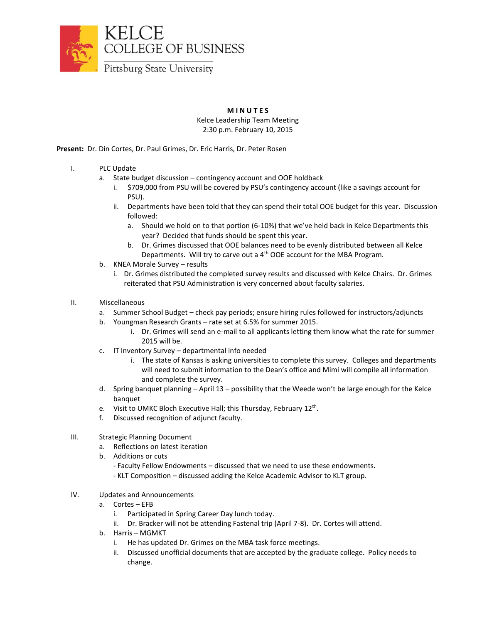

## **M I N U T E S**

Kelce Leadership Team Meeting 2:30 p.m. February 10, 2015

**Present:** Dr. Din Cortes, Dr. Paul Grimes, Dr. Eric Harris, Dr. Peter Rosen

- I. PLC Update
	- a. State budget discussion contingency account and OOE holdback
		- i. \$709,000 from PSU will be covered by PSU's contingency account (like a savings account for PSU).
		- ii. Departments have been told that they can spend their total OOE budget for this year. Discussion followed:
			- a. Should we hold on to that portion (6-10%) that we've held back in Kelce Departments this year? Decided that funds should be spent this year.
			- b. Dr. Grimes discussed that OOE balances need to be evenly distributed between all Kelce Departments. Will try to carve out a 4<sup>th</sup> OOE account for the MBA Program.
	- b. KNEA Morale Survey results
		- i. Dr. Grimes distributed the completed survey results and discussed with Kelce Chairs. Dr. Grimes reiterated that PSU Administration is very concerned about faculty salaries.
- II. Miscellaneous
	- a. Summer School Budget check pay periods; ensure hiring rules followed for instructors/adjuncts
	- b. Youngman Research Grants rate set at 6.5% for summer 2015.
		- i. Dr. Grimes will send an e-mail to all applicants letting them know what the rate for summer 2015 will be.
	- c. IT Inventory Survey departmental info needed
		- i. The state of Kansas is asking universities to complete this survey. Colleges and departments will need to submit information to the Dean's office and Mimi will compile all information and complete the survey.
	- d. Spring banquet planning April 13 possibility that the Weede won't be large enough for the Kelce banquet
	- e. Visit to UMKC Bloch Executive Hall; this Thursday, February 12<sup>th</sup>.
	- f. Discussed recognition of adjunct faculty.
- III. Strategic Planning Document
	- a. Reflections on latest iteration
	- b. Additions or cuts
		- Faculty Fellow Endowments discussed that we need to use these endowments.
		- KLT Composition discussed adding the Kelce Academic Advisor to KLT group.
- IV. Updates and Announcements
	- a. Cortes EFB
		- i. Participated in Spring Career Day lunch today.
		- ii. Dr. Bracker will not be attending Fastenal trip (April 7-8). Dr. Cortes will attend.
	- b. Harris MGMKT
		- i. He has updated Dr. Grimes on the MBA task force meetings.
		- ii. Discussed unofficial documents that are accepted by the graduate college. Policy needs to change.